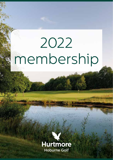# 2022 membership

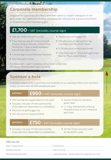## **Corporate membership**

**The Manual Property of the Manual Property** 

Designed for companies who like to entertain clients or reward colleagues on the golf course. Our clubhouse facilities and restaurant also provide a great environment to do business when not playing golf.

# **£1,700** + VAT (includes course sign)

- > Play all 3 Hoburne golf courses
- > 1 four ball per day at a Hoburne Golf Course (Bulbury Woods, Crane Valley, Hurtmore), 7 days a week (weekend tee-off from 12pm only)

> 1 course sign to promote your business

- > Discount on golf buggy hire
- > 10% discount on half and full day meeting room hire at all 3 clubs
- 17.5% discount on food and drinks
- > Corporate day for 20 people (golf only). Mon to Thurs after 11.30am

> 10% discount in shop

Pre-booking is required, please call or email us to book. All names must be taken upon booking.

## **Sponsor a hole**

A fantastic opportunity to promote your business to our passing visitors and members, visible to more than 30,000 people per year.

## **OPTION 1 £960** + VAT (includes course sign)

- **>** £150 Joining Fee (applicable for first year)
- > Includes one year of hole sponsorship, (hole selection dependant on availability)
- > Discount on golf buggy hire
- > 15% discount on food and drink

- > Guests invited at member's guest rates
- $\blacktriangleright$  1 x 7 day membership offering free golf at any of our 3 Hoburne golf clubs

## **OPTION 2 £750** + VAT (includes course sign)

- > Includes one year of hole sponsorship, (hole selection dependant on availability)
- > 20 Tee Times vouchers valid to use within 1 year

### Office use only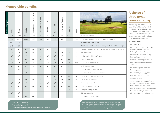## **Membership benefits**

| Membership type | $d$ ay<br>$\overline{\phantom{a}}$ | $d$ ay<br>LO. | Plus<br>$\overline{8}$ | $\overline{6}$<br>$\overline{\phantom{a}}$<br>Intermediate Plus (36 | 35)<br>$\overline{\phantom{a}}$<br>Intermediate (26 | 25)<br>$\mathbf{I}$<br>Colt Plus (22 | 21)<br>$\mathsf I$<br>Colt (18 | Junior (up to 17 years) | Flexi Plus     | Flexi        |                                                                 |
|-----------------|------------------------------------|---------------|------------------------|---------------------------------------------------------------------|-----------------------------------------------------|--------------------------------------|--------------------------------|-------------------------|----------------|--------------|-----------------------------------------------------------------|
|                 | £1040                              | £940          | £695                   | £705                                                                | £605                                                | £395                                 | £215                           | £90                     | £260           | £100         | Mens and ladies fee                                             |
|                 | £150                               | £150          | £100                   | £100                                                                | £100                                                | £100                                 | £75                            | N/A                     | £75            | N/A          | Joining Fee (applicable to new joining member)                  |
|                 | £40                                | £20           |                        |                                                                     |                                                     |                                      |                                |                         |                |              | Membership card top up                                          |
|                 | £40                                | £20           |                        |                                                                     |                                                     |                                      |                                |                         |                |              | Additional membership card top up for Partners & Seniors (65+)  |
|                 | $\checkmark$                       | $\checkmark$  | $\checkmark$           | $\checkmark$                                                        | $\checkmark$                                        | $\checkmark$                         |                                |                         | $\ast$         | $**$         | Play all 3 Hoburne golf courses (10 day tee booking preference) |
|                 | $\checkmark$                       | $\checkmark$  | $\checkmark$           | $\checkmark$                                                        | $\checkmark$                                        | $\checkmark$                         | $\checkmark$                   | $\checkmark$            | $\ast$         | $\ast\ast$   | No green fees                                                   |
|                 | $\checkmark$                       | $\checkmark$  | $\checkmark$           | $\checkmark$                                                        | $\checkmark$                                        | $\checkmark$                         | $\checkmark$                   | $\checkmark$            | $\checkmark$   | $\checkmark$ | 14 day tee booking preference                                   |
|                 | $\checkmark$                       | $\checkmark$  | $\checkmark$           | $\checkmark$                                                        | $\checkmark$                                        | $\checkmark$                         | $\checkmark$                   | $\checkmark$            | $\checkmark$   |              | Gain a handicap                                                 |
|                 | $\checkmark$                       | $\checkmark$  | $\checkmark$           | $\checkmark$                                                        | $\checkmark$                                        | $\checkmark$                         | $\checkmark$                   | $\checkmark$            | $\checkmark$   | N/A          | Includes EGU and County Fee                                     |
|                 | $\checkmark$                       | $\checkmark$  | $\checkmark$           | $\checkmark$                                                        | $\checkmark$                                        | $\checkmark$                         | $\checkmark$                   | $\checkmark$            | $\checkmark$   |              | Club Competitions                                               |
|                 | $\checkmark$                       | $\checkmark$  |                        |                                                                     |                                                     |                                      |                                |                         |                |              | 15% discount on food and drink                                  |
|                 |                                    |               | $\checkmark$           | $\checkmark$                                                        | $\checkmark$                                        |                                      |                                |                         |                |              | 12.5% discount on food and drink                                |
|                 |                                    |               |                        |                                                                     |                                                     | $\checkmark$                         | $\checkmark$                   | $\checkmark$            | $\checkmark$   | $\checkmark$ | 10% discount on food and drink                                  |
|                 | $\checkmark$                       | $\checkmark$  | $\checkmark$           | $\checkmark$                                                        | $\checkmark$                                        | $\checkmark$                         | $\checkmark$                   | $\checkmark$            | $\checkmark$   | $\checkmark$ | 10% discount in shopt                                           |
|                 | ✓                                  | $\checkmark$  | $\checkmark$           | $\checkmark$                                                        | $\checkmark$                                        | $\checkmark$                         | $\checkmark$                   | $\checkmark$            | $\checkmark$   |              | Members' guest rates                                            |
|                 | $\checkmark$                       | $\checkmark$  | $\checkmark$           | $\checkmark$                                                        | $\checkmark$                                        | $\checkmark$                         | $\checkmark$                   | $\checkmark$            | $\checkmark$   | $\checkmark$ | Discount on golf buggy hire                                     |
|                 |                                    |               |                        |                                                                     |                                                     |                                      |                                |                         | $\overline{3}$ | $\mathbf{1}$ | Complimentary rounds                                            |
|                 | $\checkmark$                       | $\checkmark$  |                        |                                                                     |                                                     |                                      |                                |                         |                |              | Off-site benefits                                               |
|                 | $\checkmark$                       | ✓             | ✓                      | $\checkmark$                                                        |                                                     |                                      |                                |                         |                |              | Access reciprocal courses                                       |

## **A choice of three great courses to play**

We are very aware that people want different things from their memberships. So, whether you are a committed seven days a week player or prefer to squeeze in a quick round after work, we have a package available for you.

## **Benefits include:**

- $\blacktriangleright$  18 holes of golf
- > Play all 3 Hoburne Golf courses including Crane Valley and Bulbury Woods in Dorset
- $\blacktriangleright$  Membership can start at any time during the year
- $\blacktriangleright$  14 day tee booking preference
- $\blacktriangleright$  Regular competitions through out the year
- $\triangleright$  Discounted green fee rates for your guests
- > Discount on golf buggy hire
- > Free Wi-Fi in the clubhouse
- $\sum$  Off-site benefits
- $\triangleright$  We also offer a calendar of social events throughout the year, open to members and their guests.
- $\triangleright$  Spread the cost of your membership fees into monthly instalments. Please ask for more information.

\* Up to £13 off per round

\*\* Up to £9 off per round

† Not applicable to discounted items, trolleys or hardware

5 day members shall be entitled to use the course Monday to Friday, excluding statutory bank holidays. 5 day members are entitled to use the course on weekends and bank holidays, subject to payment of the appropriate green fees.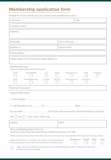## **Membership application form**

Please fill in form below with your details and membership option.

| Full name:                                                                                                                                                                             | Title                                                                |  |  |  |  |  |  |  |  |
|----------------------------------------------------------------------------------------------------------------------------------------------------------------------------------------|----------------------------------------------------------------------|--|--|--|--|--|--|--|--|
| Company name:                                                                                                                                                                          |                                                                      |  |  |  |  |  |  |  |  |
| Address:                                                                                                                                                                               |                                                                      |  |  |  |  |  |  |  |  |
| Postcode:<br>Tel no. (home):                                                                                                                                                           |                                                                      |  |  |  |  |  |  |  |  |
| Mobile no:                                                                                                                                                                             | Date of birth:                                                       |  |  |  |  |  |  |  |  |
| Email address:                                                                                                                                                                         |                                                                      |  |  |  |  |  |  |  |  |
| Please state how or where you heard about us:                                                                                                                                          |                                                                      |  |  |  |  |  |  |  |  |
| Membership type:<br>Please tick appropriate membership option                                                                                                                          |                                                                      |  |  |  |  |  |  |  |  |
| Intermediate<br>7 Day<br>Colt<br>Junior<br>Intermediate Plus<br>Colt Plus<br>80 Plus<br>5 Day                                                                                          | Hole sponsor 1<br>Corporate<br>Flexi<br>Hole sponsor 2<br>Flexi Plus |  |  |  |  |  |  |  |  |
| Payment enclosed £                                                                                                                                                                     |                                                                      |  |  |  |  |  |  |  |  |
| Please state either                                                                                                                                                                    |                                                                      |  |  |  |  |  |  |  |  |
|                                                                                                                                                                                        |                                                                      |  |  |  |  |  |  |  |  |
|                                                                                                                                                                                        |                                                                      |  |  |  |  |  |  |  |  |
|                                                                                                                                                                                        |                                                                      |  |  |  |  |  |  |  |  |
| Yes                                                                                                                                                                                    |                                                                      |  |  |  |  |  |  |  |  |
| Signed:                                                                                                                                                                                | Date:                                                                |  |  |  |  |  |  |  |  |
| After completing please return to:<br>Hurtmore Golf Club, Hurtmore Road, Godalming, Surrey GU7 2RN                                                                                     |                                                                      |  |  |  |  |  |  |  |  |
| Please read our privacy policy which describes how we will use your personal data. Visit hoburne.com/privacy-policy.                                                                   |                                                                      |  |  |  |  |  |  |  |  |
| Telephone<br>Email<br><b>SMS</b><br>Post<br>Please tick here if you would like us to contact you with information<br>about goods and services which we feel may be of interest to you. |                                                                      |  |  |  |  |  |  |  |  |
| I agree that my membership will be subject to the membership terms and conditions and club rules<br>as shown on the club website.                                                      |                                                                      |  |  |  |  |  |  |  |  |